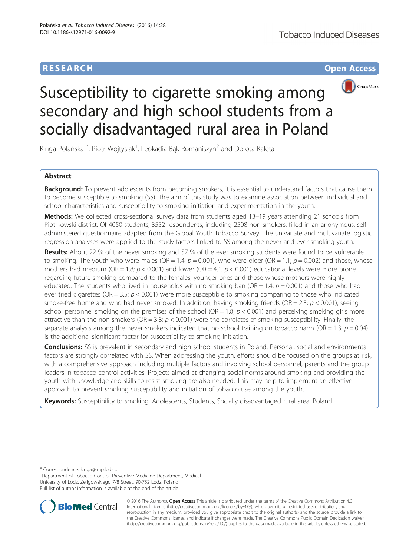# **RESEARCH CHE Open Access**



# Susceptibility to cigarette smoking among secondary and high school students from a socially disadvantaged rural area in Poland

Kinga Polańska<sup>1\*</sup>, Piotr Wojtysiak<sup>1</sup>, Leokadia Bąk-Romaniszyn<sup>2</sup> and Dorota Kaleta<sup>1</sup>

# Abstract

**Background:** To prevent adolescents from becoming smokers, it is essential to understand factors that cause them to become susceptible to smoking (SS). The aim of this study was to examine association between individual and school characteristics and susceptibility to smoking initiation and experimentation in the youth.

Methods: We collected cross-sectional survey data from students aged 13-19 years attending 21 schools from Piotrkowski district. Of 4050 students, 3552 respondents, including 2508 non-smokers, filled in an anonymous, selfadministered questionnaire adapted from the Global Youth Tobacco Survey. The univariate and multivariate logistic regression analyses were applied to the study factors linked to SS among the never and ever smoking youth.

Results: About 22 % of the never smoking and 57 % of the ever smoking students were found to be vulnerable to smoking. The youth who were males (OR = 1.4;  $p = 0.001$ ), who were older (OR = 1.1;  $p = 0.002$ ) and those, whose mothers had medium (OR = 1.8;  $p < 0.001$ ) and lower (OR = 4.1;  $p < 0.001$ ) educational levels were more prone regarding future smoking compared to the females, younger ones and those whose mothers were highly educated. The students who lived in households with no smoking ban (OR = 1.4;  $p = 0.001$ ) and those who had ever tried cigarettes ( $OR = 3.5$ ;  $p < 0.001$ ) were more susceptible to smoking comparing to those who indicated smoke-free home and who had never smoked. In addition, having smoking friends (OR = 2.3;  $p < 0.001$ ), seeing school personnel smoking on the premises of the school (OR = 1.8;  $p < 0.001$ ) and perceiving smoking girls more attractive than the non-smokers (OR = 3.8;  $p < 0.001$ ) were the correlates of smoking susceptibility. Finally, the separate analysis among the never smokers indicated that no school training on tobacco harm (OR = 1.3;  $p = 0.04$ ) is the additional significant factor for susceptibility to smoking initiation.

**Conclusions:** SS is prevalent in secondary and high school students in Poland. Personal, social and environmental factors are strongly correlated with SS. When addressing the youth, efforts should be focused on the groups at risk, with a comprehensive approach including multiple factors and involving school personnel, parents and the group leaders in tobacco control activities. Projects aimed at changing social norms around smoking and providing the youth with knowledge and skills to resist smoking are also needed. This may help to implement an effective approach to prevent smoking susceptibility and initiation of tobacco use among the youth.

Keywords: Susceptibility to smoking, Adolescents, Students, Socially disadvantaged rural area, Poland

\* Correspondence: [kinga@imp.lodz.pl](mailto:kinga@imp.lodz.pl) <sup>1</sup>

<sup>1</sup>Department of Tobacco Control, Preventive Medicine Department, Medical University of Lodz, Zeligowskiego 7/8 Street, 90-752 Lodz, Poland Full list of author information is available at the end of the article



© 2016 The Author(s). Open Access This article is distributed under the terms of the Creative Commons Attribution 4.0 International License [\(http://creativecommons.org/licenses/by/4.0/](http://creativecommons.org/licenses/by/4.0/)), which permits unrestricted use, distribution, and reproduction in any medium, provided you give appropriate credit to the original author(s) and the source, provide a link to the Creative Commons license, and indicate if changes were made. The Creative Commons Public Domain Dedication waiver [\(http://creativecommons.org/publicdomain/zero/1.0/](http://creativecommons.org/publicdomain/zero/1.0/)) applies to the data made available in this article, unless otherwise stated.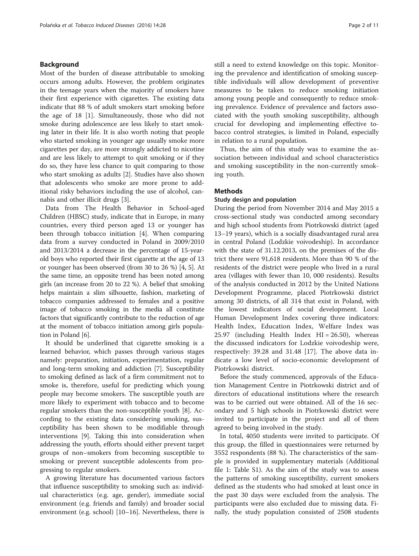# Background

Most of the burden of disease attributable to smoking occurs among adults. However, the problem originates in the teenage years when the majority of smokers have their first experience with cigarettes. The existing data indicate that 88 % of adult smokers start smoking before the age of 18 [[1](#page-9-0)]. Simultaneously, those who did not smoke during adolescence are less likely to start smoking later in their life. It is also worth noting that people who started smoking in younger age usually smoke more cigarettes per day, are more strongly addicted to nicotine and are less likely to attempt to quit smoking or if they do so, they have less chance to quit comparing to those who start smoking as adults [[2\]](#page-9-0). Studies have also shown that adolescents who smoke are more prone to additional risky behaviors including the use of alcohol, cannabis and other illicit drugs [[3\]](#page-9-0).

Data from The Health Behavior in School-aged Children (HBSC) study, indicate that in Europe, in many countries, every third person aged 13 or younger has been through tobacco initiation [\[4](#page-9-0)]. When comparing data from a survey conducted in Poland in 2009/2010 and 2013/2014 a decrease in the percentage of 15-yearold boys who reported their first cigarette at the age of 13 or younger has been observed (from 30 to 26 %) [[4, 5](#page-9-0)]. At the same time, an opposite trend has been noted among girls (an increase from 20 to 22 %). A belief that smoking helps maintain a slim silhouette, fashion, marketing of tobacco companies addressed to females and a positive image of tobacco smoking in the media all constitute factors that significantly contribute to the reduction of age at the moment of tobacco initiation among girls population in Poland [\[6](#page-10-0)].

It should be underlined that cigarette smoking is a learned behavior, which passes through various stages namely: preparation, initiation, experimentation, regular and long-term smoking and addiction [\[7](#page-10-0)]. Susceptibility to smoking defined as lack of a firm commitment not to smoke is, therefore, useful for predicting which young people may become smokers. The susceptible youth are more likely to experiment with tobacco and to become regular smokers than the non-susceptible youth [\[8\]](#page-10-0). According to the existing data considering smoking, susceptibility has been shown to be modifiable through interventions [[9\]](#page-10-0). Taking this into consideration when addressing the youth, efforts should either prevent target groups of non–smokers from becoming susceptible to smoking or prevent susceptible adolescents from progressing to regular smokers.

A growing literature has documented various factors that influence susceptibility to smoking such as: individual characteristics (e.g. age, gender), immediate social environment (e.g. friends and family) and broader social environment (e.g. school) [\[10](#page-10-0)–[16\]](#page-10-0). Nevertheless, there is still a need to extend knowledge on this topic. Monitoring the prevalence and identification of smoking susceptible individuals will allow development of preventive measures to be taken to reduce smoking initiation among young people and consequently to reduce smoking prevalence. Evidence of prevalence and factors associated with the youth smoking susceptibility, although crucial for developing and implementing effective tobacco control strategies, is limited in Poland, especially in relation to a rural population.

Thus, the aim of this study was to examine the association between individual and school characteristics and smoking susceptibility in the non-currently smoking youth.

#### **Methods**

## Study design and population

During the period from November 2014 and May 2015 a cross-sectional study was conducted among secondary and high school students from Piotrkowski district (aged 13–19 years), which is a socially disadvantaged rural area in central Poland (Lodzkie voivodeship). In accordance with the state of 31.12.2013, on the premises of the district there were 91,618 residents. More than 90 % of the residents of the district were people who lived in a rural area (villages with fewer than 10, 000 residents). Results of the analysis conducted in 2012 by the United Nations Development Programme, placed Piotrkowski district among 30 districts, of all 314 that exist in Poland, with the lowest indicators of social development. Local Human Development Index covering three indicators: Health Index, Education Index, Welfare Index was 25.97 (including Health Index HI = 26.50), whereas the discussed indicators for Lodzkie voivodeship were, respectively: 39.28 and 31.48 [[17](#page-10-0)]. The above data indicate a low level of socio-economic development of Piotrkowski district.

Before the study commenced, approvals of the Education Management Centre in Piotrkowski district and of directors of educational institutions where the research was to be carried out were obtained. All of the 16 secondary and 5 high schools in Piotrkowski district were invited to participate in the project and all of them agreed to being involved in the study.

In total, 4050 students were invited to participate. Of this group, the filled in questionnaires were returned by 3552 respondents (88 %). The characteristics of the sample is provided in supplementary materials (Additional file [1](#page-9-0): Table S1). As the aim of the study was to assess the patterns of smoking susceptibility, current smokers defined as the students who had smoked at least once in the past 30 days were excluded from the analysis. The participants were also excluded due to missing data. Finally, the study population consisted of 2508 students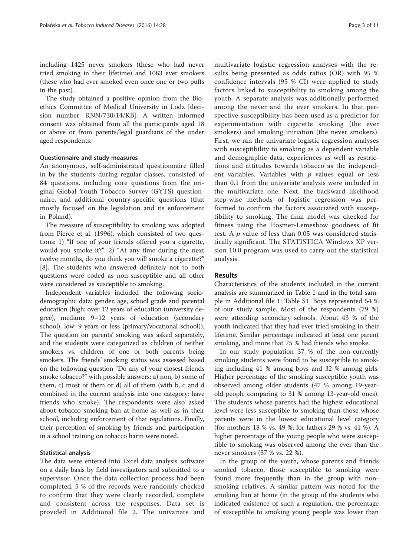including 1425 never smokers (these who had never tried smoking in their lifetime) and 1083 ever smokers (these who had ever smoked even once one or two puffs in the past).

The study obtained a positive opinion from the Bioethics Committee of Medical University in Lodz [decision number: RNN/730/14/KB]. A written informed consent was obtained from all the participants aged 18 or above or from parents/legal guardians of the under aged respondents.

#### Questionnaire and study measures

An anonymous, self-administrated questionnaire filled in by the students during regular classes, consisted of 84 questions, including core questions from the original Global Youth Tobacco Survey (GYTS) questionnaire, and additional country-specific questions (that mostly focused on the legislation and its enforcement in Poland).

The measure of susceptibility to smoking was adopted from Pierce et al. (1996), which consisted of two questions: 1) "If one of your friends offered you a cigarette, would you smoke it?", 2) "At any time during the next twelve months, do you think you will smoke a cigarette?" [[8\]](#page-10-0). The students who answered definitely not to both questions were coded as non-susceptible and all other were considered as susceptible to smoking.

Independent variables included the following sociodemographic data: gender, age, school grade and parental education (high: over 12 years of education (university degree), medium: 9–12 years of education (secondary school), low: 9 years or less (primary/vocational school)). The question on parents' smoking was asked separately, and the students were categorized as children of neither smokers vs. children of one or both parents being smokers. The friends' smoking status was assessed based on the following question "Do any of your closest friends smoke tobacco?" with possible answers: a) non, b) some of them, c) most of them or d) all of them (with b, c and d combined in the current analysis into one category: have friends who smoke). The respondents were also asked about tobacco smoking ban at home as well as in their school, including enforcement of that regulations. Finally, their perception of smoking by friends and participation in a school training on tobacco harm were noted.

# Statistical analysis

The data were entered into Excel data analysis software on a daily basis by field investigators and submitted to a supervisor. Once the data collection process had been completed, 5 % of the records were randomly checked to confirm that they were clearly recorded, complete and consistent across the responses. Data set is provided in Additional file [2](#page-9-0). The univariate and

multivariate logistic regression analyses with the results being presented as odds ratios (OR) with 95 % confidence intervals (95 % CI) were applied to study factors linked to susceptibility to smoking among the youth. A separate analysis was additionally performed among the never and the ever smokers. In that perspective susceptibility has been used as a predictor for experimentation with cigarette smoking (the ever smokers) and smoking initiation (the never smokers). First, we ran the univariate logistic regression analyses with susceptibility to smoking as a dependent variable and demographic data, experiences as well as restrictions and attitudes towards tobacco as the independent variables. Variables with  $p$  values equal or less than 0.1 from the univariate analysis were included in the multivariate one. Next, the backward likelihood step-wise methods of logistic regression was performed to confirm the factors associated with susceptibility to smoking. The final model was checked for fitness using the Hosmer-Lemeshow goodness of fit test. A  $p$  value of less than 0.05 was considered statistically significant. The STATISTICA Windows XP version 10.0 program was used to carry out the statistical analysis.

### Results

Characteristics of the students included in the current analysis are summarized in Table [1](#page-3-0) and in the total sample in Additional file [1:](#page-9-0) Table S1. Boys represented 54 % of our study sample. Most of the respondents (79 %) were attending secondary schools. About 43 % of the youth indicated that they had ever tried smoking in their lifetime. Similar percentage indicated at least one parent smoking, and more that 75 % had friends who smoke.

In our study population 37 % of the non-currently smoking students were found to be susceptible to smoking including 41 % among boys and 32 % among girls. Higher percentage of the smoking susceptible youth was observed among older students (47 % among 19-yearold people comparing to 31 % among 13-year-old ones). The students whose parents had the highest educational level were less susceptible to smoking than those whose parents were in the lowest educational level category (for mothers 18 % vs. 49 %; for fathers 29 % vs. 41 %). A higher percentage of the young people who were susceptible to smoking was observed among the ever than the never smokers (57 % vs. 22 %).

In the group of the youth, whose parents and friends smoked tobacco, those susceptible to smoking were found more frequently than in the group with nonsmoking relatives. A similar pattern was noted for the smoking ban at home (in the group of the students who indicated existence of such a regulation, the percentage of susceptible to smoking young people was lower than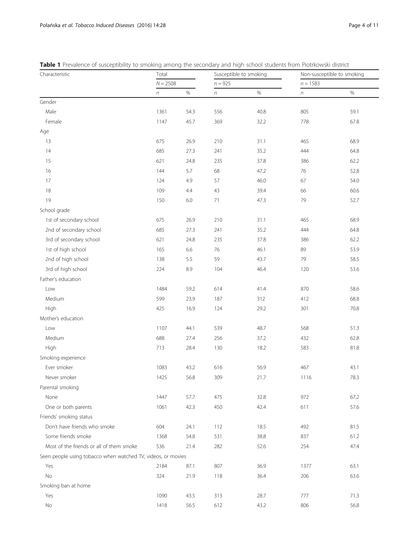| Characteristic                                               | Total            |         |                  | Susceptible to smoking |                  | Non-susceptible to smoking |
|--------------------------------------------------------------|------------------|---------|------------------|------------------------|------------------|----------------------------|
|                                                              | $N = 2508$       |         | $n = 925$        |                        | $n = 1583$       |                            |
|                                                              | $\boldsymbol{n}$ | $\%$    | $\boldsymbol{n}$ | $\%$                   | $\boldsymbol{n}$ | $\%$                       |
| Gender                                                       |                  |         |                  |                        |                  |                            |
| Male                                                         | 1361             | 54.3    | 556              | 40.8                   | 805              | 59.1                       |
| Female                                                       | 1147             | 45.7    | 369              | 32.2                   | 778              | 67.8                       |
| Age                                                          |                  |         |                  |                        |                  |                            |
| 13                                                           | 675              | 26.9    | 210              | 31.1                   | 465              | 68.9                       |
| 14                                                           | 685              | 27.3    | 241              | 35.2                   | 444              | 64.8                       |
| 15                                                           | 621              | 24.8    | 235              | 37.8                   | 386              | 62.2                       |
| 16                                                           | 144              | 5.7     | 68               | 47.2                   | 76               | 52.8                       |
| 17                                                           | 124              | 4.9     | 57               | 46.0                   | 67               | 54.0                       |
| 18                                                           | 109              | 4.4     | 43               | 39.4                   | 66               | 60.6                       |
| 19                                                           | 150              | $6.0\,$ | 71               | 47.3                   | 79               | 52.7                       |
| School grade                                                 |                  |         |                  |                        |                  |                            |
| 1st of secondary school                                      | 675              | 26.9    | 210              | 31.1                   | 465              | 68.9                       |
| 2nd of secondary school                                      | 685              | 27.3    | 241              | 35.2                   | 444              | 64.8                       |
| 3rd of secondary school                                      | 621              | 24.8    | 235              | 37.8                   | 386              | 62.2                       |
| 1st of high school                                           | 165              | 6.6     | 76               | 46.1                   | 89               | 53.9                       |
| 2nd of high school                                           | 138              | 5.5     | 59               | 43.7                   | 79               | 58.5                       |
| 3rd of high school                                           | 224              | 8.9     | 104              | 46.4                   | 120              | 53.6                       |
| Father's education                                           |                  |         |                  |                        |                  |                            |
| Low                                                          | 1484             | 59.2    | 614              | 41.4                   | 870              | 58.6                       |
| Medium                                                       | 599              | 23.9    | 187              | 312                    | 412              | 68.8                       |
| High                                                         | 425              | 16.9    | 124              | 29.2                   | 301              | 70.8                       |
| Mother's education                                           |                  |         |                  |                        |                  |                            |
| Low                                                          | 1107             | 44.1    | 539              | 48.7                   | 568              | 51.3                       |
| Medium                                                       | 688              | 27.4    | 256              | 37.2                   | 432              | 62.8                       |
| High                                                         | 713              | 28.4    | 130              | 18.2                   | 583              | 81.8                       |
| Smoking experience                                           |                  |         |                  |                        |                  |                            |
| Ever smoker                                                  | 1083             | 43.2    | 616              | 56.9                   | 467              | 43.1                       |
| Never smoker                                                 | 1425             | 56.8    | 309              | 21.7                   | 1116             | 78.3                       |
| Parental smoking                                             |                  |         |                  |                        |                  |                            |
| None                                                         | 1447             | 57.7    | 475              | 32.8                   | 972              | 67.2                       |
| One or both parents                                          | 1061             | 42.3    | 450              | 42.4                   | 611              | 57.6                       |
| Friends' smoking status                                      |                  |         |                  |                        |                  |                            |
| Don't have friends who smoke                                 | 604              | 24.1    | 112              | 18.5                   | 492              | 81.5                       |
| Some friends smoke                                           | 1368             | 54.8    | 531              | 38.8                   | 837              | 61.2                       |
| Most of the friends or all of them smoke                     | 536              | 21.4    | 282              | 52.6                   | 254              | 47.4                       |
| Seen people using tobacco when watched TV, videos, or movies |                  |         |                  |                        |                  |                            |
| Yes                                                          | 2184             | 87.1    | 807              | 36.9                   | 1377             | 63.1                       |
| No                                                           | 324              | 21.9    | 118              | 36.4                   | 206              | 63.6                       |
| Smoking ban at home                                          |                  |         |                  |                        |                  |                            |
| Yes                                                          | 1090             | 43.5    | 313              | 28.7                   | 777              | 71.3                       |
| $\rm No$                                                     | 1418             | 56.5    | 612              | 43.2                   | 806              | 56.8                       |

<span id="page-3-0"></span>Table 1 Prevalence of susceptibility to smoking among the secondary and high school students from Piotrkowski district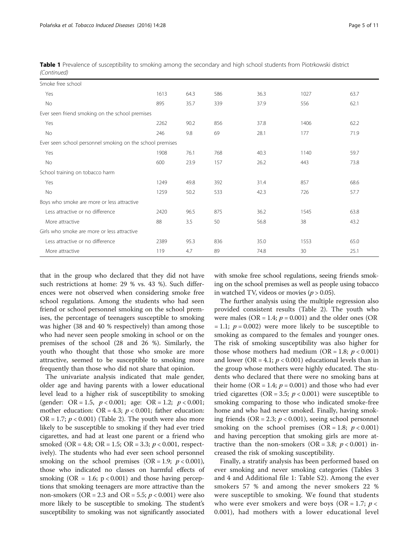| Smoke free school                                         |      |      |     |      |      |      |
|-----------------------------------------------------------|------|------|-----|------|------|------|
| Yes                                                       | 1613 | 64.3 | 586 | 36.3 | 1027 | 63.7 |
| No                                                        | 895  | 35.7 | 339 | 37.9 | 556  | 62.1 |
| Ever seen friend smoking on the school premises           |      |      |     |      |      |      |
| Yes                                                       | 2262 | 90.2 | 856 | 37.8 | 1406 | 62.2 |
| No                                                        | 246  | 9.8  | 69  | 28.1 | 177  | 71.9 |
| Ever seen school personnel smoking on the school premises |      |      |     |      |      |      |
| Yes                                                       | 1908 | 76.1 | 768 | 40.3 | 1140 | 59.7 |
| No                                                        | 600  | 23.9 | 157 | 26.2 | 443  | 73.8 |
| School training on tobacco harm                           |      |      |     |      |      |      |
| Yes                                                       | 1249 | 49.8 | 392 | 31.4 | 857  | 68.6 |
| No                                                        | 1259 | 50.2 | 533 | 42.3 | 726  | 57.7 |
| Boys who smoke are more or less attractive                |      |      |     |      |      |      |
| Less attractive or no difference                          | 2420 | 96.5 | 875 | 36.2 | 1545 | 63.8 |
| More attractive                                           | 88   | 3.5  | 50  | 56.8 | 38   | 43.2 |
| Girls who smoke are more or less attractive               |      |      |     |      |      |      |
| Less attractive or no difference                          | 2389 | 95.3 | 836 | 35.0 | 1553 | 65.0 |
| More attractive                                           | 119  | 4.7  | 89  | 74.8 | 30   | 25.1 |

Table 1 Prevalence of susceptibility to smoking among the secondary and high school students from Piotrkowski district (Continued)

that in the group who declared that they did not have such restrictions at home: 29 % vs. 43 %). Such differences were not observed when considering smoke free school regulations. Among the students who had seen friend or school personnel smoking on the school premises, the percentage of teenagers susceptible to smoking was higher (38 and 40 % respectively) than among those who had never seen people smoking in school or on the premises of the school (28 and 26 %). Similarly, the youth who thought that those who smoke are more attractive, seemed to be susceptible to smoking more frequently than those who did not share that opinion.

The univariate analysis indicated that male gender, older age and having parents with a lower educational level lead to a higher risk of susceptibility to smoking (gender: OR = 1.5,  $p < 0.001$ ; age: OR = 1.2;  $p < 0.001$ ; mother education:  $OR = 4.3$ ;  $p < 0.001$ ; father education: OR = 1.7;  $p < 0.001$ ) (Table [2](#page-5-0)). The youth were also more likely to be susceptible to smoking if they had ever tried cigarettes, and had at least one parent or a friend who smoked (OR = 4.8; OR = 1.5; OR = 3.3;  $p < 0.001$ , respectively). The students who had ever seen school personnel smoking on the school premises  $(OR = 1.9; p < 0.001)$ , those who indicated no classes on harmful effects of smoking (OR = 1.6;  $p < 0.001$ ) and those having perceptions that smoking teenagers are more attractive than the non-smokers (OR = 2.3 and OR = 5.5;  $p < 0.001$ ) were also more likely to be susceptible to smoking. The student's susceptibility to smoking was not significantly associated

with smoke free school regulations, seeing friends smoking on the school premises as well as people using tobacco in watched TV, videos or movies ( $p > 0.05$ ).

The further analysis using the multiple regression also provided consistent results (Table [2](#page-5-0)). The youth who were males (OR = 1.4;  $p = 0.001$ ) and the older ones (OR  $= 1.1$ ;  $p = 0.002$ ) were more likely to be susceptible to smoking as compared to the females and younger ones. The risk of smoking susceptibility was also higher for those whose mothers had medium (OR = 1.8;  $p < 0.001$ ) and lower (OR = 4.1;  $p < 0.001$ ) educational levels than in the group whose mothers were highly educated. The students who declared that there were no smoking bans at their home (OR = 1.4;  $p = 0.001$ ) and those who had ever tried cigarettes (OR = 3.5;  $p < 0.001$ ) were susceptible to smoking comparing to those who indicated smoke-free home and who had never smoked. Finally, having smoking friends (OR = 2.3;  $p < 0.001$ ), seeing school personnel smoking on the school premises  $(OR = 1.8; p < 0.001)$ and having perception that smoking girls are more attractive than the non-smokers (OR = 3.8;  $p < 0.001$ ) increased the risk of smoking susceptibility.

Finally, a stratify analysis has been performed based on ever smoking and never smoking categories (Tables [3](#page-7-0) and [4](#page-8-0) and Additional file [1:](#page-9-0) Table S2). Among the ever smokers 57 % and among the never smokers 22 % were susceptible to smoking. We found that students who were ever smokers and were boys (OR = 1.7;  $p <$ 0.001), had mothers with a lower educational level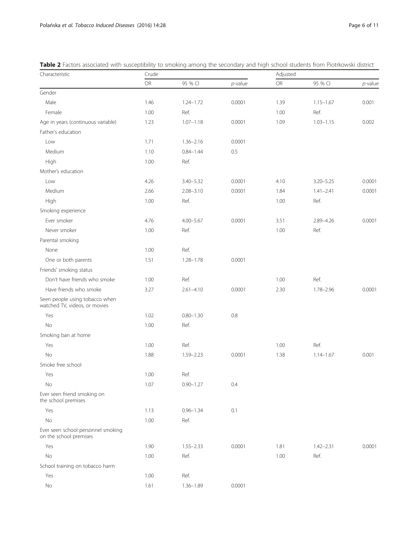| Characteristic                                                  | Crude |               |            | Adjusted  |               |            |  |
|-----------------------------------------------------------------|-------|---------------|------------|-----------|---------------|------------|--|
|                                                                 | OR    | 95 % CI       | $p$ -value | <b>OR</b> | 95 % CI       | $p$ -value |  |
| Gender                                                          |       |               |            |           |               |            |  |
| Male                                                            | 1.46  | $1.24 - 1.72$ | 0.0001     | 1.39      | $1.15 - 1.67$ | 0.001      |  |
| Female                                                          | 1.00  | Ref.          |            | 1.00      | Ref.          |            |  |
| Age in years (continuous variable)                              | 1.23  | $1.07 - 1.18$ | 0.0001     | 1.09      | $1.03 - 1.15$ | 0.002      |  |
| Father's education                                              |       |               |            |           |               |            |  |
| Low                                                             | 1.71  | $1.36 - 2.16$ | 0.0001     |           |               |            |  |
| Medium                                                          | 1.10  | $0.84 - 1.44$ | 0.5        |           |               |            |  |
| High                                                            | 1.00  | Ref.          |            |           |               |            |  |
| Mother's education                                              |       |               |            |           |               |            |  |
| Low                                                             | 4.26  | $3.40 - 5.32$ | 0.0001     | 4.10      | $3.20 - 5.25$ | 0.0001     |  |
| Medium                                                          | 2.66  | $2.08 - 3.10$ | 0.0001     | 1.84      | $1.41 - 2.41$ | 0.0001     |  |
| High                                                            | 1.00  | Ref.          |            | 1.00      | Ref.          |            |  |
| Smoking experience                                              |       |               |            |           |               |            |  |
| Ever smoker                                                     | 4.76  | $4.00 - 5.67$ | 0.0001     | 3.51      | 2.89-4.26     | 0.0001     |  |
| Never smoker                                                    | 1.00  | Ref.          |            | 1.00      | Ref.          |            |  |
| Parental smoking                                                |       |               |            |           |               |            |  |
| None                                                            | 1.00  | Ref.          |            |           |               |            |  |
| One or both parents                                             | 1.51  | $1.28 - 1.78$ | 0.0001     |           |               |            |  |
| Friends' smoking status                                         |       |               |            |           |               |            |  |
| Don't have friends who smoke                                    | 1.00  | Ref.          |            | 1.00      | Ref.          |            |  |
| Have friends who smoke                                          | 3.27  | $2.61 - 4.10$ | 0.0001     | 2.30      | $1.78 - 2.96$ | 0.0001     |  |
| Seen people using tobacco when<br>watched TV, videos, or movies |       |               |            |           |               |            |  |
| Yes                                                             | 1.02  | $0.80 - 1.30$ | 0.8        |           |               |            |  |
| No                                                              | 1.00  | Ref.          |            |           |               |            |  |
| Smoking ban at home                                             |       |               |            |           |               |            |  |
| Yes                                                             | 1.00  | Ref.          |            | 1.00      | Ref.          |            |  |
| No                                                              | 1.88  | $1.59 - 2.23$ | 0.0001     | 1.38      | $1.14 - 1.67$ | 0.001      |  |
| Smoke free school                                               |       |               |            |           |               |            |  |
| Yes                                                             | 1.00  | Ref.          |            |           |               |            |  |
| No                                                              | 1.07  | $0.90 - 1.27$ | 0.4        |           |               |            |  |
| Ever seen friend smoking on<br>the school premises              |       |               |            |           |               |            |  |
| Yes                                                             | 1.13  | $0.96 - 1.34$ | 0.1        |           |               |            |  |
| No                                                              | 1.00  | Ref.          |            |           |               |            |  |
| Ever seen school personnel smoking<br>on the school premises    |       |               |            |           |               |            |  |
| Yes                                                             | 1.90  | $1.55 - 2.33$ | 0.0001     | 1.81      | $1.42 - 2.31$ | 0.0001     |  |
| No                                                              | 1.00  | Ref.          |            | 1.00      | Ref.          |            |  |
| School training on tobacco harm                                 |       |               |            |           |               |            |  |
| Yes                                                             | 1.00  | Ref.          |            |           |               |            |  |
| No                                                              | 1.61  | $1.36 - 1.89$ | 0.0001     |           |               |            |  |

<span id="page-5-0"></span>Table 2 Factors associated with susceptibility to smoking among the secondary and high school students from Piotrkowski district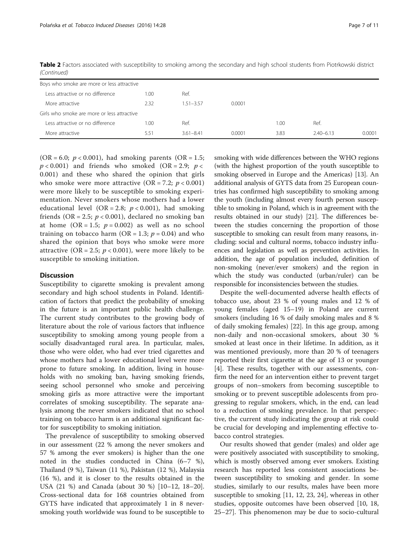| Boys who smoke are more or less attractive  |      |               |        |      |               |        |
|---------------------------------------------|------|---------------|--------|------|---------------|--------|
| Less attractive or no difference            | 1.00 | Ref.          |        |      |               |        |
| More attractive                             | 2.32 | $1.51 - 3.57$ | 0.0001 |      |               |        |
| Girls who smoke are more or less attractive |      |               |        |      |               |        |
| Less attractive or no difference            | 1.00 | Ref.          |        | 1.00 | Ref.          |        |
| More attractive                             | 5.51 | $3.61 - 8.41$ | 0.0001 | 3.83 | $2.40 - 6.13$ | 0.0001 |

Table 2 Factors associated with susceptibility to smoking among the secondary and high school students from Piotrkowski district (Continued)

(OR = 6.0;  $p < 0.001$ ), had smoking parents (OR = 1.5;  $p < 0.001$ ) and friends who smoked (OR = 2.9;  $p <$ 0.001) and these who shared the opinion that girls who smoke were more attractive  $(OR = 7.2; p < 0.001)$ were more likely to be susceptible to smoking experimentation. Never smokers whose mothers had a lower educational level (OR = 2.8;  $p < 0.001$ ), had smoking friends (OR = 2.5;  $p < 0.001$ ), declared no smoking ban at home  $(OR = 1.5; p = 0.002)$  as well as no school training on tobacco harm (OR = 1.3;  $p = 0.04$ ) and who shared the opinion that boys who smoke were more attractive (OR = 2.5;  $p < 0.001$ ), were more likely to be susceptible to smoking initiation.

# **Discussion**

Susceptibility to cigarette smoking is prevalent among secondary and high school students in Poland. Identification of factors that predict the probability of smoking in the future is an important public health challenge. The current study contributes to the growing body of literature about the role of various factors that influence susceptibility to smoking among young people from a socially disadvantaged rural area. In particular, males, those who were older, who had ever tried cigarettes and whose mothers had a lower educational level were more prone to future smoking. In addition, living in households with no smoking ban, having smoking friends, seeing school personnel who smoke and perceiving smoking girls as more attractive were the important correlates of smoking susceptibility. The separate analysis among the never smokers indicated that no school training on tobacco harm is an additional significant factor for susceptibility to smoking initiation.

The prevalence of susceptibility to smoking observed in our assessment (22 % among the never smokers and 57 % among the ever smokers) is higher than the one noted in the studies conducted in China (6–7 %), Thailand (9 %), Taiwan (11 %), Pakistan (12 %), Malaysia (16 %), and it is closer to the results obtained in the USA (21 %) and Canada (about 30 %) [[10](#page-10-0)–[12](#page-10-0), [18](#page-10-0)–[20](#page-10-0)]. Cross-sectional data for 168 countries obtained from GYTS have indicated that approximately 1 in 8 neversmoking youth worldwide was found to be susceptible to smoking with wide differences between the WHO regions (with the highest proportion of the youth susceptible to smoking observed in Europe and the Americas) [[13](#page-10-0)]. An additional analysis of GYTS data from 25 European countries has confirmed high susceptibility to smoking among the youth (including almost every fourth person susceptible to smoking in Poland, which is in agreement with the results obtained in our study) [\[21\]](#page-10-0). The differences between the studies concerning the proportion of those susceptible to smoking can result from many reasons, including: social and cultural norms, tobacco industry influences and legislation as well as prevention activities. In addition, the age of population included, definition of non-smoking (never/ever smokers) and the region in which the study was conducted (urban/ruler) can be responsible for inconsistencies between the studies.

Despite the well-documented adverse health effects of tobacco use, about 23 % of young males and 12 % of young females (aged 15–19) in Poland are current smokers (including 16 % of daily smoking males and 8 % of daily smoking females) [\[22](#page-10-0)]. In this age group, among non-daily and non-occasional smokers, about 30 % smoked at least once in their lifetime. In addition, as it was mentioned previously, more than 20 % of teenagers reported their first cigarette at the age of 13 or younger [[4\]](#page-9-0). These results, together with our assessments, confirm the need for an intervention either to prevent target groups of non–smokers from becoming susceptible to smoking or to prevent susceptible adolescents from progressing to regular smokers, which, in the end, can lead to a reduction of smoking prevalence. In that perspective, the current study indicating the group at risk could be crucial for developing and implementing effective tobacco control strategies.

Our results showed that gender (males) and older age were positively associated with susceptibility to smoking, which is mostly observed among ever smokers. Existing research has reported less consistent associations between susceptibility to smoking and gender. In some studies, similarly to our results, males have been more susceptible to smoking [\[11](#page-10-0), [12](#page-10-0), [23, 24\]](#page-10-0), whereas in other studies, opposite outcomes have been observed [[10](#page-10-0), [18](#page-10-0), [25](#page-10-0)–[27](#page-10-0)]. This phenomenon may be due to socio-cultural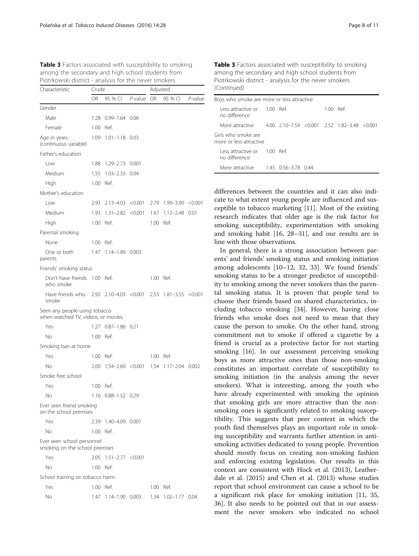<span id="page-7-0"></span>

| Table 3 Factors associated with susceptibility to smoking |
|-----------------------------------------------------------|
| among the secondary and high school students from         |
| Piotrkowski district - analysis for the never smokers     |

| Characteristic                                                      | Crude     |                       |         | Adjusted  |                       |         |  |
|---------------------------------------------------------------------|-----------|-----------------------|---------|-----------|-----------------------|---------|--|
|                                                                     | <b>OR</b> | 95 % CI               | P-value | <b>OR</b> | 95 % CI               | P-value |  |
| Gender                                                              |           |                       |         |           |                       |         |  |
| Male                                                                | 1.28      | $0.99 - 1.64$ 0.06    |         |           |                       |         |  |
| Female                                                              | 1.00      | Ref.                  |         |           |                       |         |  |
| Age in years<br>(continuous variable)                               | 1.09      | $1.01 - 1.18$ 0.03    |         |           |                       |         |  |
| Father's education                                                  |           |                       |         |           |                       |         |  |
| Low                                                                 | 1.88      | $1.29 - 2.73$         | 0.001   |           |                       |         |  |
| Medium                                                              | 1.55      | 1.03-2.33 0.04        |         |           |                       |         |  |
| High                                                                | 1.00      | Ref.                  |         |           |                       |         |  |
| Mother's education                                                  |           |                       |         |           |                       |         |  |
| Low                                                                 | 2.93      | $2.13 - 4.03$         | < 0.001 | 2.79      | 1.99–3.90             | < 0.001 |  |
| Medium                                                              | 1.93      | $1.31 - 2.82 < 0.001$ |         | 1.67      | $1.12 - 2.48$         | 0.01    |  |
| High                                                                | 1.00      | Ref.                  |         | 1.00      | Ref.                  |         |  |
| Parental smoking                                                    |           |                       |         |           |                       |         |  |
| None                                                                | 1.00      | Ref.                  |         |           |                       |         |  |
| One or both<br>parents                                              | 1.47      | 1.14-1.89 0.003       |         |           |                       |         |  |
| Friends' smoking status                                             |           |                       |         |           |                       |         |  |
| Don't have friends<br>who smoke                                     | 1.00 Ref. |                       |         | 1.00 Ref. |                       |         |  |
| Have friends who 2.92 2.10-4.03 <0.001<br>smoke                     |           |                       |         | 2.53      | $1.81 - 3.55 < 0.001$ |         |  |
| Seen any people using tobacco<br>when watched TV, videos, or movies |           |                       |         |           |                       |         |  |
| Yes                                                                 | 1.27      | 0.87-1.86 0.21        |         |           |                       |         |  |
| No                                                                  |           | 1.00 Ref.             |         |           |                       |         |  |
| Smoking ban at home                                                 |           |                       |         |           |                       |         |  |
| Yes                                                                 | 1.00      | Ref.                  |         |           | 1.00 Ref.             |         |  |
| Νo                                                                  | 2.00      | $1.54 - 2.60 < 0.001$ |         | 1.54      | 1.17-2.04 0.002       |         |  |
| Smoke free school                                                   |           |                       |         |           |                       |         |  |
| Yes                                                                 | 1.00      | Ref.                  |         |           |                       |         |  |
| No                                                                  | 1.16      | $0.88 - 1.52$ 0.29    |         |           |                       |         |  |
| Ever seen friend smoking<br>on the school premises                  |           |                       |         |           |                       |         |  |
| Yes                                                                 | 2.39      | 1.40-4.09 0.001       |         |           |                       |         |  |
| No                                                                  |           | 1.00 Ref.             |         |           |                       |         |  |
| Ever seen school personnel<br>smoking on the school premises        |           |                       |         |           |                       |         |  |
| Yes                                                                 | 2.05      | $1.51 - 2.77 < 0.001$ |         |           |                       |         |  |
| No                                                                  |           | 1.00 Ref.             |         |           |                       |         |  |
| School training on tobacco harm                                     |           |                       |         |           |                       |         |  |
| Yes                                                                 |           | 1.00 Ref.             |         |           | 1.00 Ref.             |         |  |
| No                                                                  | 1.47      | 1.14-1.90 0.003       |         | 1.34      | $1.02 - 1.77$ 0.04    |         |  |
|                                                                     |           |                       |         |           |                       |         |  |

Table 3 Factors associated with susceptibility to smoking among the secondary and high school students from Piotrkowski district - analysis for the never smokers (Continued)

| Boys who smoke are more or less attractive     |  |                                                               |  |         |  |  |  |  |
|------------------------------------------------|--|---------------------------------------------------------------|--|---------|--|--|--|--|
| Less attractive or 1.00 Ref.<br>no difference  |  |                                                               |  | 100 Ref |  |  |  |  |
| More attractive                                |  | $4.00$ $2.10 - 7.59$ $< 0.001$ $2.52$ $1.82 - 3.48$ $< 0.001$ |  |         |  |  |  |  |
| Girls who smoke are<br>more or less attractive |  |                                                               |  |         |  |  |  |  |
| Less attractive or 1.00 Ref.<br>no difference  |  |                                                               |  |         |  |  |  |  |
| More attractive                                |  | 145 056-378 044                                               |  |         |  |  |  |  |

differences between the countries and it can also indicate to what extent young people are influenced and susceptible to tobacco marketing [[11](#page-10-0)]. Most of the existing research indicates that older age is the risk factor for smoking susceptibility, experimentation with smoking and smoking habit [[16, 28](#page-10-0)–[31\]](#page-10-0), and our results are in line with those observations.

In general, there is a strong association between parents' and friends' smoking status and smoking initiation among adolescents [[10](#page-10-0)–[12](#page-10-0), [32](#page-10-0), [33\]](#page-10-0). We found friends' smoking status to be a stronger predictor of susceptibility to smoking among the never smokers than the parental smoking status. It is proven that people tend to choose their friends based on shared characteristics, including tobacco smoking [\[34](#page-10-0)]. However, having close friends who smoke does not need to mean that they cause the person to smoke. On the other hand, strong commitment not to smoke if offered a cigarette by a friend is crucial as a protective factor for not starting smoking [[16](#page-10-0)]. In our assessment perceiving smoking boys as more attractive ones than those non-smoking constitutes an important correlate of susceptibility to smoking initiation (in the analysis among the never smokers). What is interesting, among the youth who have already experimented with smoking the opinion that smoking girls are more attractive than the nonsmoking ones is significantly related to smoking susceptibility. This suggests that peer context in which the youth find themselves plays an important role in smoking susceptibility and warrants further attention in antismoking activities dedicated to young people. Prevention should mostly focus on creating non-smoking fashion and enforcing existing legislation. Our results in this context are consistent with Hock et al. (2013), Leatherdale et al. (2015) and Chen et al. (2013) whose studies report that school environment can cause a school to be a significant risk place for smoking initiation [\[11](#page-10-0), [35](#page-10-0), [36\]](#page-10-0). It also needs to be pointed out that in our assessment the never smokers who indicated no school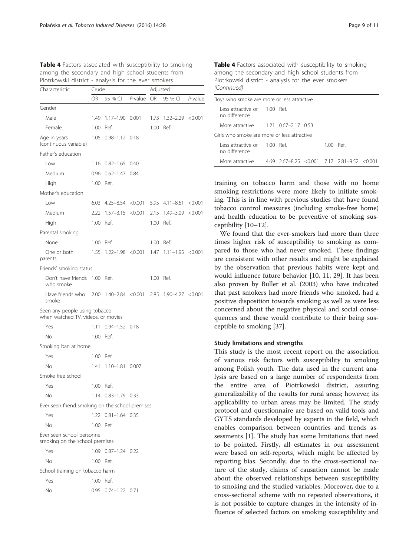| Characteristic                                                      | Crude             |                             |         | Adjusted  |                       |         |  |
|---------------------------------------------------------------------|-------------------|-----------------------------|---------|-----------|-----------------------|---------|--|
|                                                                     | OR                | 95 % CI                     | P-value | <b>OR</b> | 95 % CI               | P-value |  |
| Gender                                                              |                   |                             |         |           |                       |         |  |
| Male                                                                | 1.49              | 1.17-1.90 0.001             |         | 1.73      | $1.32 - 2.29 < 0.001$ |         |  |
| Female                                                              | 1.00              | Ref.                        |         | 1.00      | Ref.                  |         |  |
| Age in years<br>(continuous variable)                               | 1.05              | $0.98 - 1.12$ 0.18          |         |           |                       |         |  |
| Father's education                                                  |                   |                             |         |           |                       |         |  |
| Low                                                                 | 1.16              | $0.82 - 1.65$               | 0.40    |           |                       |         |  |
| Medium                                                              | 0.96              | $0.62 - 1.47$               | 0.84    |           |                       |         |  |
| High                                                                | 1.00              | Ref.                        |         |           |                       |         |  |
| Mother's education                                                  |                   |                             |         |           |                       |         |  |
| Low                                                                 | 6.03              | $4.25 - 8.54$               | < 0.001 | 5.95      | 4.11–8.61             | < 0.001 |  |
| Medium                                                              | 2.22              | $1.57 - 3.15 < 0.001$       |         | 2.15      | 1.49–3.09             | < 0.001 |  |
| High                                                                | 1.00              | Ref.                        |         | 1.00.     | Ref.                  |         |  |
| Parental smoking                                                    |                   |                             |         |           |                       |         |  |
| None                                                                | 1.00              | Ref.                        |         | 1.00      | Ref.                  |         |  |
| One or both<br>parents                                              | 1.55              | $1.22 - 1.98 < 0.001$       |         | 1.47      | $1.11 - 1.95 < 0.001$ |         |  |
| Friends' smoking status                                             |                   |                             |         |           |                       |         |  |
| Don't have friends<br>who smoke                                     | 1.00 <sub>1</sub> | Ref.                        |         | 1.00      | Ref.                  |         |  |
| Have friends who<br>smoke                                           |                   | 2.00 1.40-2.84 < 0.001      |         | 2.85      | $1.90 - 4.27 < 0.001$ |         |  |
| Seen any people using tobacco<br>when watched TV, videos, or movies |                   |                             |         |           |                       |         |  |
| Yes                                                                 | 1.11              | $0.94 - 1.52$ 0.18          |         |           |                       |         |  |
| No                                                                  | 1.00              | Ref.                        |         |           |                       |         |  |
| Smoking ban at home                                                 |                   |                             |         |           |                       |         |  |
| Yes                                                                 | 1.00              | Ref.                        |         |           |                       |         |  |
| No                                                                  | 1.41              | 1.10-1.81 0.007             |         |           |                       |         |  |
| Smoke free school                                                   |                   |                             |         |           |                       |         |  |
| Yes                                                                 | 1.00              | Ref.                        |         |           |                       |         |  |
| <b>No</b>                                                           |                   | 1.14 0.83-1.79 0.33         |         |           |                       |         |  |
| Ever seen friend smoking on the school premises                     |                   |                             |         |           |                       |         |  |
| Yes                                                                 |                   | 1.22 0.81-1.64 0.35         |         |           |                       |         |  |
| No                                                                  | 1.00.             | Ref.                        |         |           |                       |         |  |
| Ever seen school personnel<br>smoking on the school premises        |                   |                             |         |           |                       |         |  |
| Yes                                                                 |                   | 1.09 0.87-1.24 0.22         |         |           |                       |         |  |
| No                                                                  | 1.00              | Ref.                        |         |           |                       |         |  |
| School training on tobacco harm                                     |                   |                             |         |           |                       |         |  |
| Yes                                                                 |                   | 1.00 Ref.                   |         |           |                       |         |  |
| No                                                                  |                   | $0.95$ $0.74 - 1.22$ $0.71$ |         |           |                       |         |  |

<span id="page-8-0"></span>Table 4 Factors associated with susceptibility to smoking among the secondary and high school students from Piotrkowski district - analysis for the ever smokers

Table 4 Factors associated with susceptibility to smoking among the secondary and high school students from Piotrkowski district - analysis for the ever smokers (Continued)

| Boys who smoke are more or less attractive    |  |  |  |          |                                         |  |  |  |  |
|-----------------------------------------------|--|--|--|----------|-----------------------------------------|--|--|--|--|
| Less attractive or 1.00 Ref.<br>no difference |  |  |  |          |                                         |  |  |  |  |
| More attractive 1.21 0.67-2.17 0.53           |  |  |  |          |                                         |  |  |  |  |
| Girls who smoke are more or less attractive   |  |  |  |          |                                         |  |  |  |  |
| Less attractive or 100 Ref<br>no difference   |  |  |  | 1.00 Ref |                                         |  |  |  |  |
| More attractive                               |  |  |  |          | 469 267-825 < 0.001 717 281-952 < 0.001 |  |  |  |  |

training on tobacco harm and those with no home smoking restrictions were more likely to initiate smoking. This is in line with previous studies that have found tobacco control measures (including smoke-free home) and health education to be preventive of smoking susceptibility [[10](#page-10-0)–[12](#page-10-0)].

We found that the ever-smokers had more than three times higher risk of susceptibility to smoking as compared to those who had never smoked. These findings are consistent with other results and might be explained by the observation that previous habits were kept and would influence future behavior [\[10](#page-10-0), [11, 29\]](#page-10-0). It has been also proven by Buller et al. (2003) who have indicated that past smokers had more friends who smoked, had a positive disposition towards smoking as well as were less concerned about the negative physical and social consequences and these would contribute to their being susceptible to smoking [\[37](#page-10-0)].

#### Study limitations and strengths

This study is the most recent report on the association of various risk factors with susceptibility to smoking among Polish youth. The data used in the current analysis are based on a large number of respondents from the entire area of Piotrkowski district, assuring generalizability of the results for rural areas; however, its applicability to urban areas may be limited. The study protocol and questionnaire are based on valid tools and GYTS standards developed by experts in the field, which enables comparison between countries and trends assessments [\[1](#page-9-0)]. The study has some limitations that need to be pointed. Firstly, all estimates in our assessment were based on self-reports, which might be affected by reporting bias. Secondly, due to the cross-sectional nature of the study, claims of causation cannot be made about the observed relationships between susceptibility to smoking and the studied variables. Moreover, due to a cross-sectional scheme with no repeated observations, it is not possible to capture changes in the intensity of influence of selected factors on smoking susceptibility and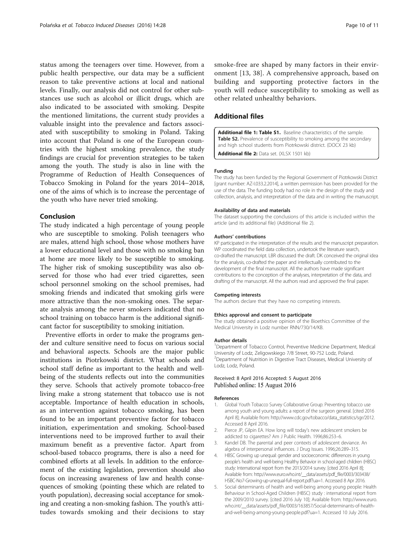<span id="page-9-0"></span>status among the teenagers over time. However, from a public health perspective, our data may be a sufficient reason to take preventive actions at local and national levels. Finally, our analysis did not control for other substances use such as alcohol or illicit drugs, which are also indicated to be associated with smoking. Despite the mentioned limitations, the current study provides a valuable insight into the prevalence and factors associated with susceptibility to smoking in Poland. Taking into account that Poland is one of the European countries with the highest smoking prevalence, the study findings are crucial for prevention strategies to be taken among the youth. The study is also in line with the Programme of Reduction of Health Consequences of Tobacco Smoking in Poland for the years 2014–2018, one of the aims of which is to increase the percentage of the youth who have never tried smoking.

## Conclusion

The study indicated a high percentage of young people who are susceptible to smoking. Polish teenagers who are males, attend high school, those whose mothers have a lower educational level and those with no smoking ban at home are more likely to be susceptible to smoking. The higher risk of smoking susceptibility was also observed for those who had ever tried cigarettes, seen school personnel smoking on the school premises, had smoking friends and indicated that smoking girls were more attractive than the non-smoking ones. The separate analysis among the never smokers indicated that no school training on tobacco harm is the additional significant factor for susceptibility to smoking initiation.

Preventive efforts in order to make the programs gender and culture sensitive need to focus on various social and behavioral aspects. Schools are the major public institutions in Piotrkowski district. What schools and school staff define as important to the health and wellbeing of the students reflects out into the communities they serve. Schools that actively promote tobacco-free living make a strong statement that tobacco use is not acceptable. Importance of health education in schools, as an intervention against tobacco smoking, has been found to be an important preventive factor for tobacco initiation, experimentation and smoking. School-based interventions need to be improved further to avail their maximum benefit as a preventive factor. Apart from school-based tobacco programs, there is also a need for combined efforts at all levels. In addition to the enforcement of the existing legislation, prevention should also focus on increasing awareness of law and health consequences of smoking (pointing these which are related to youth population), decreasing social acceptance for smoking and creating a non-smoking fashion. The youth's attitudes towards smoking and their decisions to stay smoke-free are shaped by many factors in their environment [[13](#page-10-0), [38\]](#page-10-0). A comprehensive approach, based on building and supporting protective factors in the youth will reduce susceptibility to smoking as well as other related unhealthy behaviors.

# Additional files

[Additional file 1: Table S1.](dx.doi.org/10.1186/s12971-016-0092-9) Baseline characteristics of the sample. Table S2. Prevalence of susceptibility to smoking among the secondary and high school students from Piotrkowski district. (DOCX 23 kb) [Additional file 2:](dx.doi.org/10.1186/s12971-016-0092-9) Data set. (XLSX 1501 kb)

#### Funding

The study has been funded by the Regional Government of Piotrkowski District [grant number: AZ-I.033.2.2014], a written permission has been provided for the use of the data. The funding body had no role in the design of the study and collection, analysis, and interpretation of the data and in writing the manuscript.

#### Availability of data and materials

The dataset supporting the conclusions of this article is included within the article (and its additional file) (Additional file 2).

#### Authors' contributions

KP participated in the interpretation of the results and the manuscript preparation. WP coordinated the field data collection, undertook the literature search, co-drafted the manuscript. LBR discussed the draft. DK conceived the original idea for the analysis, co-drafted the paper and intellectually contributed to the development of the final manuscript. All the authors have made significant contributions to the conception of the analyses, interpretation of the data, and drafting of the manuscript. All the authors read and approved the final paper.

#### Competing interests

The authors declare that they have no competing interests.

#### Ethics approval and consent to participate

The study obtained a positive opinion of the Bioethics Committee of the Medical University in Lodz number RNN/730/14/KB.

#### Author details

<sup>1</sup>Department of Tobacco Control, Preventive Medicine Department, Medical University of Lodz, Zeligowskiego 7/8 Street, 90-752 Lodz, Poland. <sup>2</sup>Department of Nutrition in Digestive Tract Diseases, Medical University of Lodz, Lodz, Poland.

#### Received: 8 April 2016 Accepted: 5 August 2016 Published online: 15 August 2016

#### References

- 1. Global Youth Tobacco Survey Collaborative Group: Preventing tobacco use among youth and young adults: a report of the surgeon general. [cited 2016 April 8]; Available from: [http://www.cdc.gov/tobacco/data\\_statistics/sgr/2012.](http://www.cdc.gov/tobacco/data_statistics/sgr/2012) Accessed 8 April 2016.
- 2. Pierce JP, Gilpin EA. How long will today's new adolescent smokers be addicted to cigarettes? Am J Public Health. 1996;86:253–6.
- 3. Kandel DB. The parental and peer contexts of adolescent deviance. An algebra of interpersonal influences. J Drug Issues. 1996;26:289–315.
- 4. HBSC Growing up unequal: gender and socioeconomic differences in young people's health and well-being Healthy Behavior in school-aged children (HBSC) study: International report from the 2013/2014 survey. [cited 2016 April 8]; Available from: [http://www.euro.who.int/\\_\\_data/assets/pdf\\_file/0003/303438/](http://www.euro.who.int/__data/assets/pdf_file/0003/303438/HSBC-No7-Growing-up-unequal-full-report.pdf?ua=1) [HSBC-No7-Growing-up-unequal-full-report.pdf?ua=1](http://www.euro.who.int/__data/assets/pdf_file/0003/303438/HSBC-No7-Growing-up-unequal-full-report.pdf?ua=1). Accessed 8 Apr 2016.
- 5. Social determinants of health and well-being among young people: Health Behaviour in School-Aged Children (HBSC) study : international report from the 2009/2010 survey. [cited 2016 July 10]; Available from: [http://www.euro.](http://www.euro.who.int/__data/assets/pdf_file/0003/163857/Social-determinants-of-health-and-well-being-among-young-people.pdf?ua=1) [who.int/\\_\\_data/assets/pdf\\_file/0003/163857/Social-determinants-of-health](http://www.euro.who.int/__data/assets/pdf_file/0003/163857/Social-determinants-of-health-and-well-being-among-young-people.pdf?ua=1)[and-well-being-among-young-people.pdf?ua=1](http://www.euro.who.int/__data/assets/pdf_file/0003/163857/Social-determinants-of-health-and-well-being-among-young-people.pdf?ua=1). Accessed 10 July 2016.